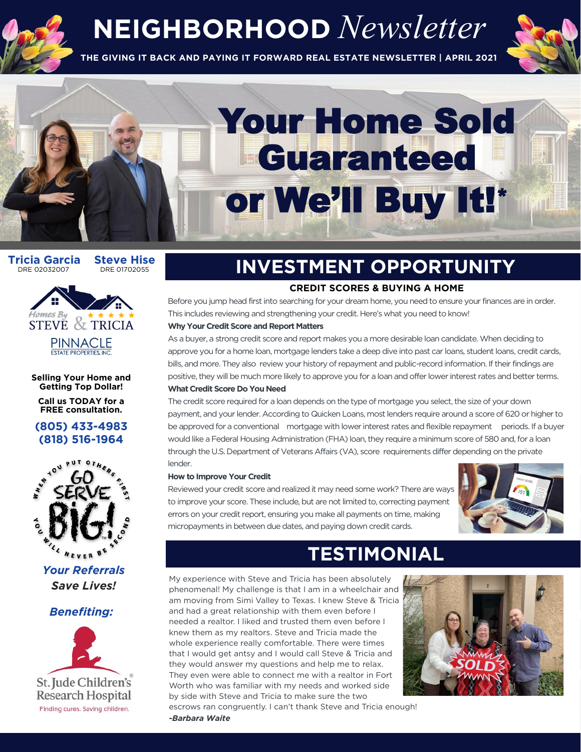

## **NEIGHBORHOOD** *Newsletter*

**THE GIVING IT BACK AND PAYING IT FORWARD REAL ESTATE NEWSLETTER | APRIL 2021**



# Your Home Sold **Guaranteed** or We'll Buy It!\*

**Tricia Garcia Steve Hise**<br>DRE 02032007 DRE 01702055



**Selling Your Home and** 

**Call us TODAY for a FREE consultation.** 





**Your Referrals** *Save Lives! Save Lives!*



# **INVESTMENT OPPORTUNITY**

This includes reviewing and strengthening your credit. Here's what you need to know! Before you jump head first into searching for your dream home, you need to ensure your finances are in order.

#### Why Your Credit Score and Report Matters

As a buyer, a strong credit score and report makes you a more desirable loan candidate. When deciding to approve you for a home loan, mortgage lenders take a deep dive into past car loans, student loans, credit cards, bills, and more. They also review your history of repayment and public-record information. If their findings are positive, they will be much more likely to approve you for a loan and offer lower interest rates and better terms. What Credit Score Do You Need

The credit score required for a loan depends on the type of mortgage you select, the size of your down payment, and your lender. According to Quicken Loans, most lenders require around a score of 620 or higher to be approved for a conventional mortgage with lower interest rates and flexible repayment periods. If a buver would like a Federal Housing Administration (FHA) loan, they require a minimum score of 580 and, for a loan through the U.S. Department of Veterans Affairs (VA), score requirements differ depending on the private through the U.S. Department of Veterans Affairs (VA), score requirements differ depending on the private

#### How to Improve Your Credit

Reviewed your credit score and realized it may need some work? There are ways to improve your score. These include, but are not limited to, correcting payment errors on your credit report, ensuring you make all payments on time, making micropayments in between due dates, and paying down credit cards. micropayments in between due dates, and paying down credit cards.



# **TESTIMONIAL**<br>My experience with Steve and Tricia has been absolutely

phenomenal! My challenge is that I am in a wheelchair and am moving from Simi Valley to Texas. I knew Steve & Tricia and had a great relationship with them even before I needed a realtor. I liked and trusted them even before I knew them as my realtors. Steve and Tricia made the whole experience really comfortable. There were times that I would get antsy and I would call Steve & Tricia and they would answer my questions and help me to relax. They even were able to connect me with a realtor in Fort Worth who was familiar with my needs and worked side by side with Steve and Tricia to make sure the two



escrows ran congruently. I can't thank Steve and Tricia enough! -Barbara Waite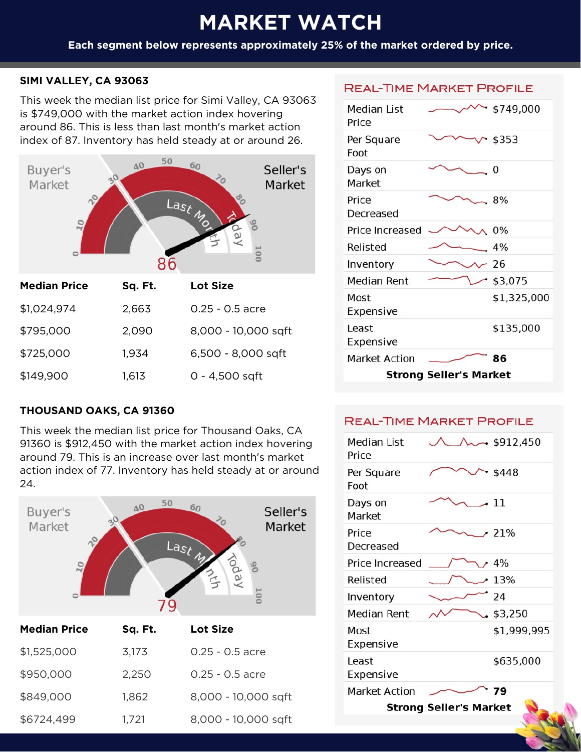#### **MARKET WATER**<br>The Marketin Watchester Watchester Watchester **Each segment below represents approximately 25% of the market ordered by price.**

## **SIMI VALLEY, CA 93063**

This week the median list price for Simi Valley, CA 93063 is \$749,000 with the market action index hovering around 86. This is less than last month's market action<br>index of 87. Inventory has hold steady at or around 26. index of 87. Inventory has held steady at or around 26.



| <b>Median Price</b> | Sq. Ft. | <b>Lot Size</b>     |
|---------------------|---------|---------------------|
| \$1,024,974         | 2,663   | $0.25 - 0.5$ acre   |
| \$795,000           | 2,090   | 8,000 - 10,000 sqft |
| \$725,000           | 1,934   | 6,500 - 8,000 sqft  |
| \$149,900           | 1,613   | $0 - 4,500$ sqft    |
|                     |         |                     |

## **THOUSAND OAKS, CA 91360**

This week the median list price for Thousand Oaks, CA<br>91360 is \$912,450 with the market action index hovering around 79. This is an increase over last month's market action index of 77. Inventory has held steady at or around



| \$1,525,000 | 3,173 | $0.25 - 0.5$ acre   |
|-------------|-------|---------------------|
| \$950,000   | 2,250 | $0.25 - 0.5$ acre   |
| \$849,000   | 1,862 | 8,000 - 10,000 sqft |
| \$6724,499  | 1,721 | 8,000 - 10,000 sqft |

#### **REAL-TIME MARKET PROFILE**

| Median List<br>Price          |  | \$749,000   |
|-------------------------------|--|-------------|
| Per Square<br>Foot            |  | $-$ \$353   |
| Days on<br>Market             |  | 0           |
| Price<br>Decreased            |  | 8%          |
| Price Increased               |  | $0\%$       |
| Relisted                      |  | 4%          |
| Inventory                     |  | -26         |
| Median Rent                   |  | $-$ \$3,075 |
| Most<br>Expensive             |  | \$1,325,000 |
| l east<br>Expensive           |  | \$135,000   |
| <b>Market Action</b>          |  | 86          |
| <b>Strong Seller's Market</b> |  |             |
|                               |  |             |

#### **REAL-TIME MARKET PROFILE**

| Median List<br>Price          |  | $\sim$ \$912,450 |
|-------------------------------|--|------------------|
| Per Square<br>Foot            |  | \$448            |
| Days on<br>Market             |  | $-11$            |
| Price<br>Decreased            |  | $.21\%$          |
| Price Increased               |  | 4%               |
| Relisted                      |  | 13%              |
| Inventory                     |  | 24               |
| Median Rent                   |  | \$3,250          |
| Most<br>Expensive             |  | \$1,999,995      |
| l east<br>Expensive           |  | \$635,000        |
| <b>Market Action</b>          |  | 79               |
| <b>Strong Seller's Market</b> |  |                  |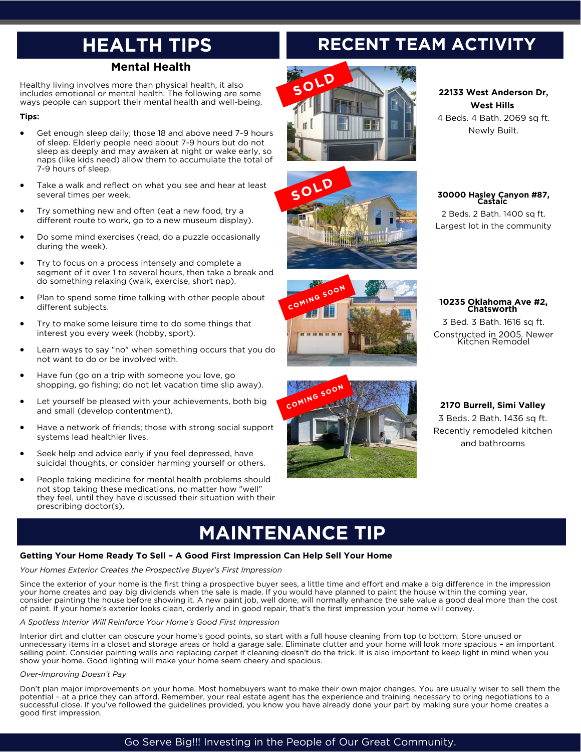# **HEALTH TIPS**

Healthy living involves more than physical health, it also includes emotional or mental health. The following are some mental or mental or mental health and well-being. ways people can support their mental health and well-being.

#### **Tips:**

- Get enough sleep daily; those 18 and above need 7-9 hours<br>of sleep. Elderly people need about 7-9 hours but do not sleep as deeply and may awaken at night or wake early, so naps (like kids need) allow them to accumulate the total of 7-9 hours of sleep. 7-9 hours of sleep.
- Take a walk and reflect on what you see and hear at least<br>several times per week. several times per week.
- Try something new and often (eat a new food, try a different route to work, go to a new museum display).
- Do some mind exercises (read, do a puzzle occasionally during the week). during the week).
- Try to focus on a process intensely and complete a<br>segment of it over 1 to several hours, then take a break and segment of it over the constantions, then take and call and do something relaxing (walk, exercise, short nap).
- Plan to spend some time talking with other people about different subjects.
- Try to make some leisure time to do some things that interest you every week (hobby, sport). interest you every week (hobby, sport).
- Learn ways to say "no" when something occurs that you do not want to do or be involved with.
- Have fun (go on a trip with someone you love, go<br>shopping, go fishing; do not let vacation time slip away). shopping, go fishing; do not let vacation time slip away).
- Let yourself be pleased with your achievements, both big and small (develop contentment). and small (develop contentment).
- Have a network of friends; those with strong social support systems lead healthier lives.
- Seek help and advice early if you feel depressed, have<br>suicidal thoughts, or consider harming yourself or others. suicidal thoughts, or consider harming yourself or others.
- People taking medicine for mental health problems should<br>not stop taking these medications, no matter how "well" they feel, until they have discussed their situation with their they feel, until they have discussed their situation with their<br>prescribing doctor(s). prescribing doctor(s).

# **RECENT TEAM ACTIVITY**









#### **22133 West Anderson Dr,** 4 Beds. 4 Bath. 2069 sq ft. Newly Built.

 $\sum_{i=1}^{n}$ 

### **30000 Hasley Canyon #87,**

2 Beds. 2 Bath. 1400 sq ft. Largest lot in the community Largest lot in the community

|  | 10235 Oklahoma Ave #2,<br>Chatsworth |
|--|--------------------------------------|
|--|--------------------------------------|

**Z** Bed. 3 Bath. 1616 sq ft. Constructed in 2005. Newer Kitchen Remodel

**2170 Burrell, Simi Valley** Recently remodeled kitchen. and bathrooms

## **MAINTENANCE TIP**<br>Getting Your Home Ready To Sell - A Good First Impression Can Help Sell Your Home

#### **Getting Your Home Ready To Sell – A Good First Impression Can Help Sell Your Home** *Your Homes Exterior Creates the Prospective Buyer's First Impression*

Since the exterior of your home is the first thing a prospective buyer sees, a little time and effort and make a big difference in the impression your home creates and pay big dividends when the sale is made. If you would consider painting the house before showing it. A new paint job, well done, will normally enhance the sale value a good deal more than the cost of paint. If your home's exterior looks clean, orderly and in good repair, that's the first impression your home will convey. of paint. If your home's exterior looks clean, orderly and in good repair, that's the first impression your home will convey.

*A Spotless Interior Will Reinforce Your Home's Good First Impression* unnecessary items in a closet and storage areas or hold a garage sale. Eliminate clutter and your home will look more spacious - an important selling point. Consider painting walls and replacing carpet if cleaning doesn't do the trick. It is also important to keep light in mind when you show your home. Good lighting will make your home seem cheery and spacious. show your home. Good lighting will make your home seem cheery and spacious.

#### *Over-Improving Doesn't Pay*

Don't plan major improvements on your home. Most homebuyers want to make their own major changes. You are usually wiser to sell them the potential - at a price they can afford. Remember, your real estate agent has the expe successful close. If you've followed the quidelines provided, you know you have already done your part by making sure your home creates a successful close. If you have followed the guidelines provided, you have already done you have you have already done you have already done you have already sure you have created and the sure your home creates and the guide  $\mathcal{G}$  first impression.